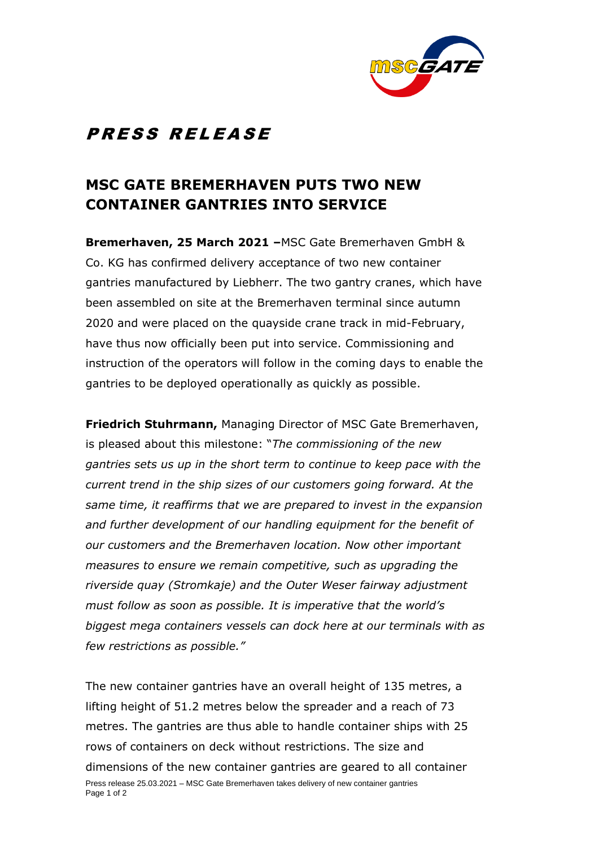

## PRESS RELEASE

## **MSC GATE BREMERHAVEN PUTS TWO NEW CONTAINER GANTRIES INTO SERVICE**

**Bremerhaven, 25 March 2021 –**MSC Gate Bremerhaven GmbH & Co. KG has confirmed delivery acceptance of two new container gantries manufactured by Liebherr. The two gantry cranes, which have been assembled on site at the Bremerhaven terminal since autumn 2020 and were placed on the quayside crane track in mid-February, have thus now officially been put into service. Commissioning and instruction of the operators will follow in the coming days to enable the gantries to be deployed operationally as quickly as possible.

**Friedrich Stuhrmann,** Managing Director of MSC Gate Bremerhaven, is pleased about this milestone: "*The commissioning of the new gantries sets us up in the short term to continue to keep pace with the current trend in the ship sizes of our customers going forward. At the same time, it reaffirms that we are prepared to invest in the expansion and further development of our handling equipment for the benefit of our customers and the Bremerhaven location. Now other important measures to ensure we remain competitive, such as upgrading the riverside quay (Stromkaje) and the Outer Weser fairway adjustment must follow as soon as possible. It is imperative that the world's biggest mega containers vessels can dock here at our terminals with as few restrictions as possible."*

Press release 25.03.2021 – MSC Gate Bremerhaven takes delivery of new container gantries Page 1 of 2 The new container gantries have an overall height of 135 metres, a lifting height of 51.2 metres below the spreader and a reach of 73 metres. The gantries are thus able to handle container ships with 25 rows of containers on deck without restrictions. The size and dimensions of the new container gantries are geared to all container